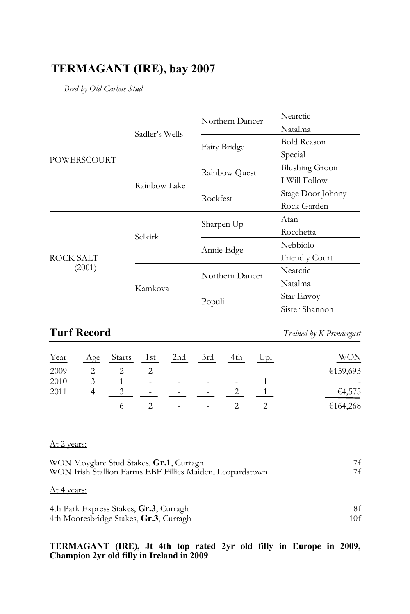## **TERMAGANT (IRE), bay 2007**

*Bred by Old Carhue Stud*

| POWERSCOURT         |                | Northern Dancer | Nearctic              |
|---------------------|----------------|-----------------|-----------------------|
|                     | Sadler's Wells |                 | Natalma               |
|                     |                | Fairy Bridge    | <b>Bold Reason</b>    |
|                     |                |                 | Special               |
|                     | Rainbow Lake   | Rainbow Quest   | <b>Blushing Groom</b> |
|                     |                |                 | I Will Follow         |
|                     |                | Rockfest        | Stage Door Johnny     |
|                     |                |                 | Rock Garden           |
| ROCK SALT<br>(2001) | Selkirk        | Sharpen Up      | Atan                  |
|                     |                |                 | Rocchetta             |
|                     |                | Annie Edge      | Nebbiolo              |
|                     |                |                 | <b>Friendly Court</b> |
|                     | Kamkova        | Northern Dancer | Nearctic              |
|                     |                |                 | Natalma               |
|                     |                | Populi          | Star Envoy            |
|                     |                |                 | Sister Shannon        |

## **Turf Record** *Trained by K Prendergast*

| Year | Age | Starts | 1st                      | 2 <sub>nd</sub>          | 3rd                      | 4th | Upl | WON            |
|------|-----|--------|--------------------------|--------------------------|--------------------------|-----|-----|----------------|
| 2009 |     |        |                          | $\,$                     |                          |     | -   | €159,693       |
| 2010 |     |        | ٠                        | $\overline{\phantom{a}}$ | $\overline{\phantom{a}}$ | ٠   |     | $\overline{a}$ |
| 2011 |     |        | $\overline{\phantom{a}}$ | $\sim$                   | <b>110</b>               |     |     | €4,575         |
|      |     |        |                          | $\sim$                   | $\sim$                   |     |     | €164,268       |

### At 2 years:

| WON Moyglare Stud Stakes, Gr.1, Curragh                   | 7f |
|-----------------------------------------------------------|----|
| WON Irish Stallion Farms EBF Fillies Maiden, Leopardstown | 7f |
|                                                           |    |

### At 4 years:

| 4th Park Express Stakes, Gr.3, Curragh |     |
|----------------------------------------|-----|
| 4th Mooresbridge Stakes, Gr.3, Curragh | 10f |

# **TERMAGANT (IRE), Jt 4th top rated 2yr old filly in Europe in 2009, Champion 2yr old filly in Ireland in 2009**